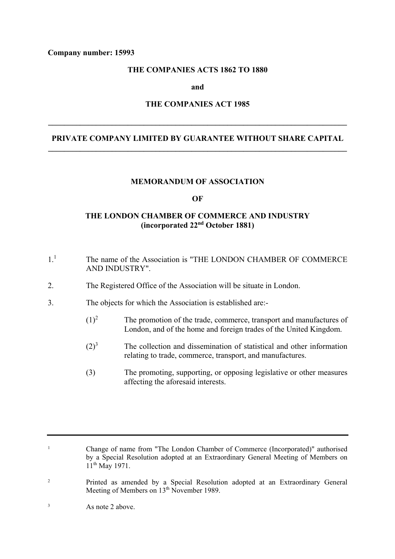## **Company number: 15993**

# **THE COMPANIES ACTS 1862 TO 1880**

**and** 

## **THE COMPANIES ACT 1985**

**\_\_\_\_\_\_\_\_\_\_\_\_\_\_\_\_\_\_\_\_\_\_\_\_\_\_\_\_\_\_\_\_\_\_\_\_\_\_\_\_\_\_\_\_\_\_\_\_\_\_\_\_\_\_\_\_\_\_\_\_\_\_\_\_\_\_\_\_\_\_\_\_\_\_\_** 

# **PRIVATE COMPANY LIMITED BY GUARANTEE WITHOUT SHARE CAPITAL \_\_\_\_\_\_\_\_\_\_\_\_\_\_\_\_\_\_\_\_\_\_\_\_\_\_\_\_\_\_\_\_\_\_\_\_\_\_\_\_\_\_\_\_\_\_\_\_\_\_\_\_\_\_\_\_\_\_\_\_\_\_\_\_\_\_\_\_\_\_\_\_\_\_\_**

#### **MEMORANDUM OF ASSOCIATION**

#### **OF**

# **THE LONDON CHAMBER OF COMMERCE AND INDUSTRY (incorporated 22nd October 1881)**

- 1.1 The name of the Association is "THE LONDON CHAMBER OF COMMERCE AND INDUSTRY".
- 2. The Registered Office of the Association will be situate in London.
- 3. The objects for which the Association is established are:-
	- $(1)^2$  The promotion of the trade, commerce, transport and manufactures of London, and of the home and foreign trades of the United Kingdom.
	- $(2)^3$  The collection and dissemination of statistical and other information relating to trade, commerce, transport, and manufactures.
	- (3) The promoting, supporting, or opposing legislative or other measures affecting the aforesaid interests.

1 Change of name from "The London Chamber of Commerce (Incorporated)" authorised by a Special Resolution adopted at an Extraordinary General Meeting of Members on 11<sup>th</sup> May 1971.

2 Printed as amended by a Special Resolution adopted at an Extraordinary General Meeting of Members on 13<sup>th</sup> November 1989.

3 As note 2 above.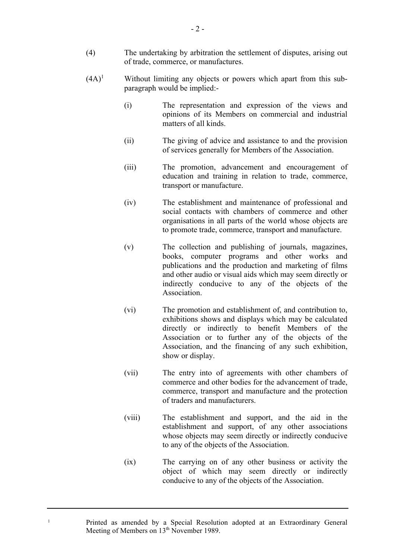- (4) The undertaking by arbitration the settlement of disputes, arising out of trade, commerce, or manufactures.
- $(4A)^1$  Without limiting any objects or powers which apart from this subparagraph would be implied:-
	- (i) The representation and expression of the views and opinions of its Members on commercial and industrial matters of all kinds.
	- (ii) The giving of advice and assistance to and the provision of services generally for Members of the Association.
	- (iii) The promotion, advancement and encouragement of education and training in relation to trade, commerce, transport or manufacture.
	- (iv) The establishment and maintenance of professional and social contacts with chambers of commerce and other organisations in all parts of the world whose objects are to promote trade, commerce, transport and manufacture.
	- (v) The collection and publishing of journals, magazines, books, computer programs and other works and publications and the production and marketing of films and other audio or visual aids which may seem directly or indirectly conducive to any of the objects of the Association.
	- (vi) The promotion and establishment of, and contribution to, exhibitions shows and displays which may be calculated directly or indirectly to benefit Members of the Association or to further any of the objects of the Association, and the financing of any such exhibition, show or display.
	- (vii) The entry into of agreements with other chambers of commerce and other bodies for the advancement of trade, commerce, transport and manufacture and the protection of traders and manufacturers.
	- (viii) The establishment and support, and the aid in the establishment and support, of any other associations whose objects may seem directly or indirectly conducive to any of the objects of the Association.
	- (ix) The carrying on of any other business or activity the object of which may seem directly or indirectly conducive to any of the objects of the Association.

1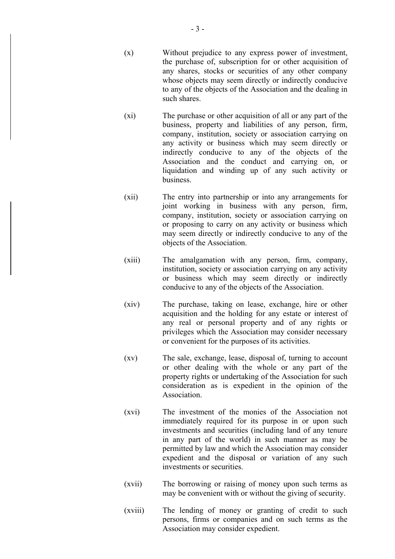- (x) Without prejudice to any express power of investment, the purchase of, subscription for or other acquisition of any shares, stocks or securities of any other company whose objects may seem directly or indirectly conducive to any of the objects of the Association and the dealing in such shares.
- (xi) The purchase or other acquisition of all or any part of the business, property and liabilities of any person, firm, company, institution, society or association carrying on any activity or business which may seem directly or indirectly conducive to any of the objects of the Association and the conduct and carrying on, or liquidation and winding up of any such activity or business.
- (xii) The entry into partnership or into any arrangements for joint working in business with any person, firm, company, institution, society or association carrying on or proposing to carry on any activity or business which may seem directly or indirectly conducive to any of the objects of the Association.
- (xiii) The amalgamation with any person, firm, company, institution, society or association carrying on any activity or business which may seem directly or indirectly conducive to any of the objects of the Association.
- (xiv) The purchase, taking on lease, exchange, hire or other acquisition and the holding for any estate or interest of any real or personal property and of any rights or privileges which the Association may consider necessary or convenient for the purposes of its activities.
- (xv) The sale, exchange, lease, disposal of, turning to account or other dealing with the whole or any part of the property rights or undertaking of the Association for such consideration as is expedient in the opinion of the Association.
- (xvi) The investment of the monies of the Association not immediately required for its purpose in or upon such investments and securities (including land of any tenure in any part of the world) in such manner as may be permitted by law and which the Association may consider expedient and the disposal or variation of any such investments or securities.
- (xvii) The borrowing or raising of money upon such terms as may be convenient with or without the giving of security.
- (xviii) The lending of money or granting of credit to such persons, firms or companies and on such terms as the Association may consider expedient.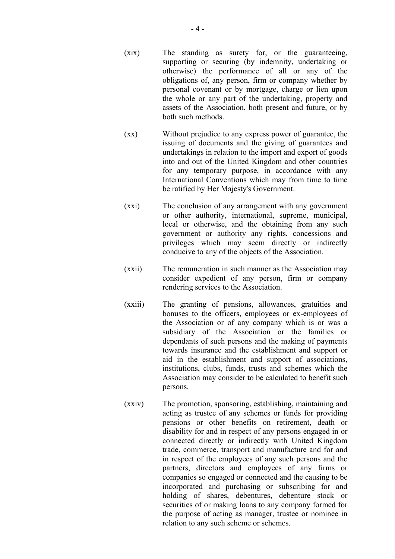- (xix) The standing as surety for, or the guaranteeing, supporting or securing (by indemnity, undertaking or otherwise) the performance of all or any of the obligations of, any person, firm or company whether by personal covenant or by mortgage, charge or lien upon the whole or any part of the undertaking, property and assets of the Association, both present and future, or by both such methods.
- (xx) Without prejudice to any express power of guarantee, the issuing of documents and the giving of guarantees and undertakings in relation to the import and export of goods into and out of the United Kingdom and other countries for any temporary purpose, in accordance with any International Conventions which may from time to time be ratified by Her Majesty's Government.
- (xxi) The conclusion of any arrangement with any government or other authority, international, supreme, municipal, local or otherwise, and the obtaining from any such government or authority any rights, concessions and privileges which may seem directly or indirectly conducive to any of the objects of the Association.
- (xxii) The remuneration in such manner as the Association may consider expedient of any person, firm or company rendering services to the Association.
- (xxiii) The granting of pensions, allowances, gratuities and bonuses to the officers, employees or ex-employees of the Association or of any company which is or was a subsidiary of the Association or the families or dependants of such persons and the making of payments towards insurance and the establishment and support or aid in the establishment and support of associations, institutions, clubs, funds, trusts and schemes which the Association may consider to be calculated to benefit such persons.
- (xxiv) The promotion, sponsoring, establishing, maintaining and acting as trustee of any schemes or funds for providing pensions or other benefits on retirement, death or disability for and in respect of any persons engaged in or connected directly or indirectly with United Kingdom trade, commerce, transport and manufacture and for and in respect of the employees of any such persons and the partners, directors and employees of any firms or companies so engaged or connected and the causing to be incorporated and purchasing or subscribing for and holding of shares, debentures, debenture stock or securities of or making loans to any company formed for the purpose of acting as manager, trustee or nominee in relation to any such scheme or schemes.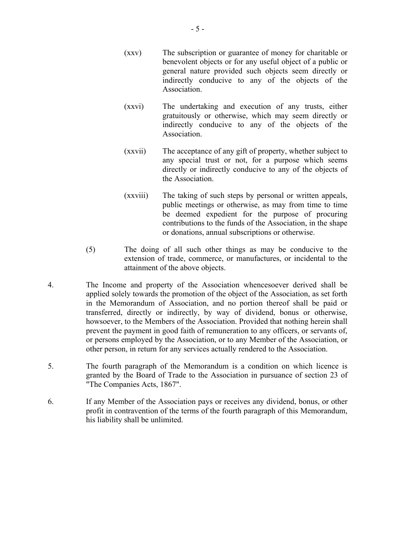- (xxv) The subscription or guarantee of money for charitable or benevolent objects or for any useful object of a public or general nature provided such objects seem directly or indirectly conducive to any of the objects of the Association.
- (xxvi) The undertaking and execution of any trusts, either gratuitously or otherwise, which may seem directly or indirectly conducive to any of the objects of the Association.
- (xxvii) The acceptance of any gift of property, whether subject to any special trust or not, for a purpose which seems directly or indirectly conducive to any of the objects of the Association.
- (xxviii) The taking of such steps by personal or written appeals, public meetings or otherwise, as may from time to time be deemed expedient for the purpose of procuring contributions to the funds of the Association, in the shape or donations, annual subscriptions or otherwise.
- (5) The doing of all such other things as may be conducive to the extension of trade, commerce, or manufactures, or incidental to the attainment of the above objects.
- 4. The Income and property of the Association whencesoever derived shall be applied solely towards the promotion of the object of the Association, as set forth in the Memorandum of Association, and no portion thereof shall be paid or transferred, directly or indirectly, by way of dividend, bonus or otherwise, howsoever, to the Members of the Association. Provided that nothing herein shall prevent the payment in good faith of remuneration to any officers, or servants of, or persons employed by the Association, or to any Member of the Association, or other person, in return for any services actually rendered to the Association.
- 5. The fourth paragraph of the Memorandum is a condition on which licence is granted by the Board of Trade to the Association in pursuance of section 23 of "The Companies Acts, 1867".
- 6. If any Member of the Association pays or receives any dividend, bonus, or other profit in contravention of the terms of the fourth paragraph of this Memorandum, his liability shall be unlimited.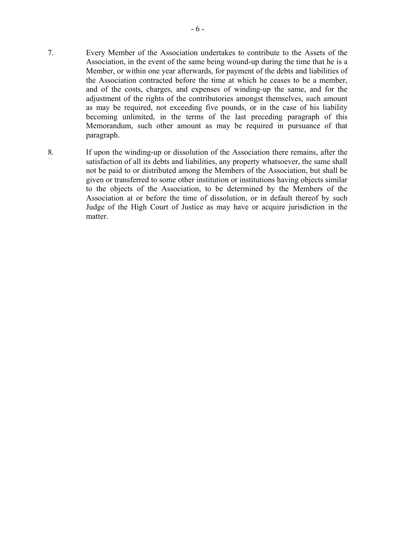- 7. Every Member of the Association undertakes to contribute to the Assets of the Association, in the event of the same being wound-up during the time that he is a Member, or within one year afterwards, for payment of the debts and liabilities of the Association contracted before the time at which he ceases to be a member, and of the costs, charges, and expenses of winding-up the same, and for the adjustment of the rights of the contributories amongst themselves, such amount as may be required, not exceeding five pounds, or in the case of his liability becoming unlimited, in the terms of the last preceding paragraph of this Memorandum, such other amount as may be required in pursuance of that paragraph.
- 8. If upon the winding-up or dissolution of the Association there remains, after the satisfaction of all its debts and liabilities, any property whatsoever, the same shall not be paid to or distributed among the Members of the Association, but shall be given or transferred to some other institution or institutions having objects similar to the objects of the Association, to be determined by the Members of the Association at or before the time of dissolution, or in default thereof by such Judge of the High Court of Justice as may have or acquire jurisdiction in the matter.